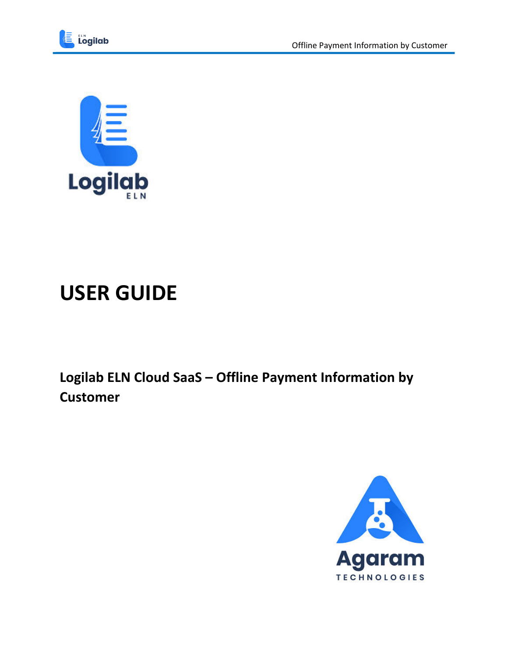



# **USER GUIDE**

Logilab ELN Cloud SaaS - Offline Payment Information by **Customer** 

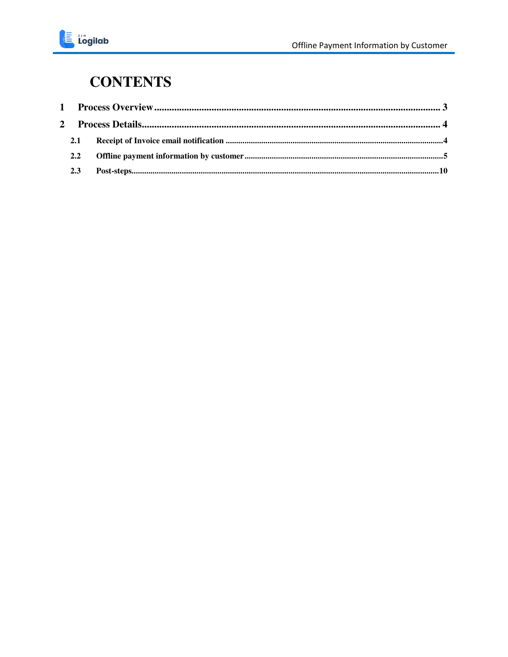#### **CONTENTS**

| 2.1           |  |
|---------------|--|
| $2.2^{\circ}$ |  |
| 2.3           |  |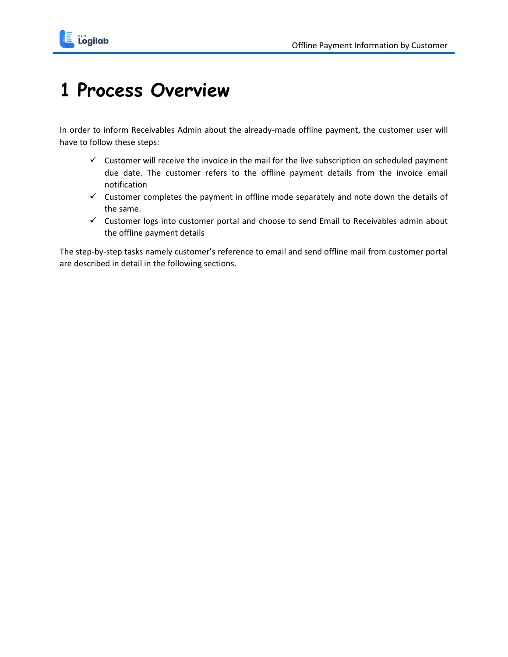

## <span id="page-2-0"></span>**1 Process Overview**

In order to inform Receivables Admin about the already-made offline payment, the customer user will have to follow these steps:

- $\checkmark$  Customer will receive the invoice in the mail for the live subscription on scheduled payment due date. The customer refers to the offline payment details from the invoice email notification
- $\checkmark$  Customer completes the payment in offline mode separately and note down the details of the same.
- $\checkmark$  Customer logs into customer portal and choose to send Email to Receivables admin about the offline payment details

The step-by-step tasks namely customer's reference to email and send offline mail from customer portal are described in detail in the following sections.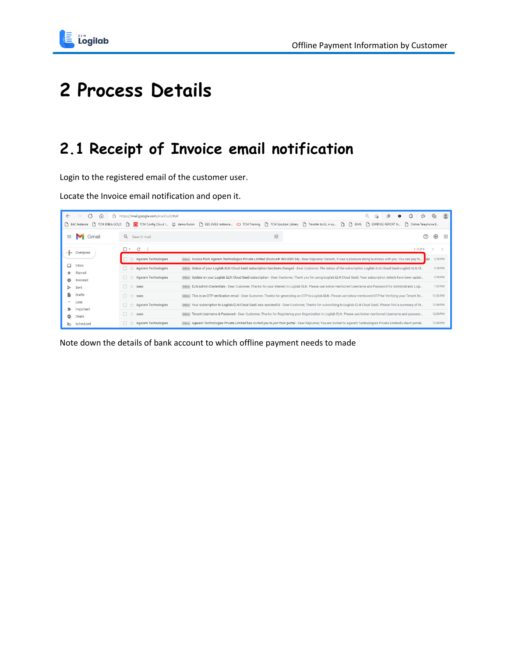

# <span id="page-3-0"></span>**2 Process Details**

### <span id="page-3-1"></span>**2.1 Receipt of Invoice email notification**

Login to the registered email of the customer user.

Locate the Invoice email notification and open it.

| $\leftarrow$ | C<br>$\longrightarrow$<br>A<br>⋒<br>BAC Instance<br>TCM EMEA GOLD | https://mail.google.com/mail/u/2/#all       | G<br>েঁ≅<br>Q<br>谁<br>ĩò<br>$\bullet$<br>TOM Config Cloud I El demo fusion [ BS EMEA Instance O TCM Training [ B TCM Solution Library [ B Transfer to GL in su [ B   BIMS [ B EXPENSE REPORT N<br>Online Telephone B | ⊕        | $\circledcirc$ |
|--------------|-------------------------------------------------------------------|---------------------------------------------|----------------------------------------------------------------------------------------------------------------------------------------------------------------------------------------------------------------------|----------|----------------|
| $\equiv$     | Gmail                                                             | Q Search mail                               | 굝<br>$\circledR$                                                                                                                                                                                                     | දල       | ∷              |
|              | Compose                                                           | $\Box$ -<br>$\mathcal{C}$<br>$\ddot{\cdot}$ | $1-9$ of 9                                                                                                                                                                                                           |          |                |
|              |                                                                   | Agaram Technologies                         | Inbox Invoice from Agaram Technologies Private Limited (Invoice#: INV-000134) - Dear Rajkumar Ganesh, It was a pleasure doing business with you. You can pay fo<br>can.                                              | 2:18 PM  |                |
| Ω            | Inbox                                                             | Agaram Technologies                         | Inbox Status of your Logilab ELN Cloud SaaS subscription has been changed - Dear Customer, The status of the subscription Logilab ELN Cloud SaaS-Logilab ELN Cl                                                      | 2:18 PM  |                |
|              | Starred<br>Snoozed                                                | Agaram Technologies                         | Inbox Update on your Logilab ELN Cloud SaaS subscription - Dear Customer, Thank you for using Logilab ELN Cloud SaaS. Your subscription details have been updat                                                      | 2:18 PM  |                |
|              | Sent                                                              | 日立<br>saas                                  | Inbox ELN Admin Credentials - Dear Customer, Thanks for your interest in Logilab ELN. Please use below mentioned Username and Password for Administrator Logi                                                        | 1:02 PM  |                |
| R            | Drafts                                                            | 口立<br>saas                                  | Inbox This is an OTP verification email - Dear Customer, Thanks for generating an OTP in Logilab ELN. Please use below mentioned OTP for Verifying your Tenant Re                                                    | 12:56 PM |                |
| ́<br>∍       | Less<br>Important                                                 | Agaram Technologies                         | Inbox Your subscription to Logilab ELN Cloud SaaS was successful - Dear Customer, Thanks for subscribing to Logilab ELN Cloud SaaS. Please find a summary of th                                                      | 12:54 PM |                |
| o            | Chats                                                             | 口☆<br>saas                                  | Inbox Tenant Username & Password - Dear Customer, Thanks for Registering your Organization in Logilab ELN. Please use below mentioned Username and passwor                                                           | 12:54 PM |                |
| ক            | Scheduled                                                         | Agaram Technologies                         | Inbox Agaram Technologies Private Limited has invited you to join their portal - Dear Rajkumar, You are invited to Agaram Technologies Private Limited's client portal                                               | 12:48 PM |                |

Note down the details of bank account to which offline payment needs to made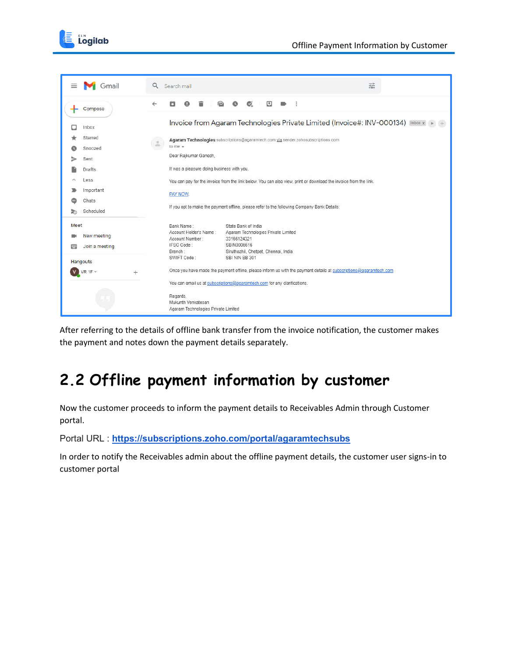



After referring to the details of offline bank transfer from the invoice notification, the customer makes the payment and notes down the payment details separately.

### <span id="page-4-0"></span>**2.2 Offline payment information by customer**

Now the customer proceeds to inform the payment details to Receivables Admin through Customer portal.

Portal URL : **<https://subscriptions.zoho.com/portal/agaramtechsubs>**

In order to notify the Receivables admin about the offline payment details, the customer user signs-in to customer portal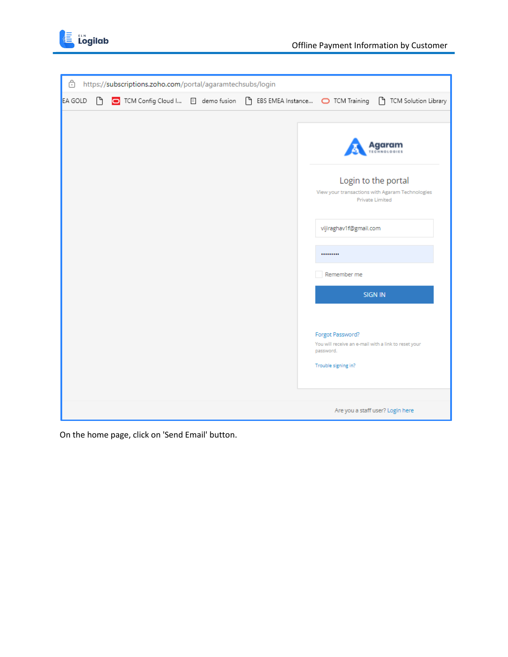

| â       |    | https://subscriptions.zoho.com/portal/agaramtechsubs/login |  |                                                                                                              |
|---------|----|------------------------------------------------------------|--|--------------------------------------------------------------------------------------------------------------|
| EA GOLD | ſ٩ |                                                            |  | O TCM Config Cloud I E demo fusion [ BS EMEA Instance O TCM Training [ ] TCM Solution Library                |
|         |    |                                                            |  |                                                                                                              |
|         |    |                                                            |  | laaram                                                                                                       |
|         |    |                                                            |  | Login to the portal<br>View your transactions with Agaram Technologies<br><b>Private Limited</b>             |
|         |    |                                                            |  | vijiraghav1f@gmail.com                                                                                       |
|         |    |                                                            |  |                                                                                                              |
|         |    |                                                            |  | Remember me                                                                                                  |
|         |    |                                                            |  | SIGN IN                                                                                                      |
|         |    |                                                            |  | Forgot Password?<br>You will receive an e-mail with a link to reset your<br>password.<br>Trouble signing in? |
|         |    |                                                            |  |                                                                                                              |
|         |    |                                                            |  | Are you a staff user? Login here                                                                             |

On the home page, click on 'Send Email' button.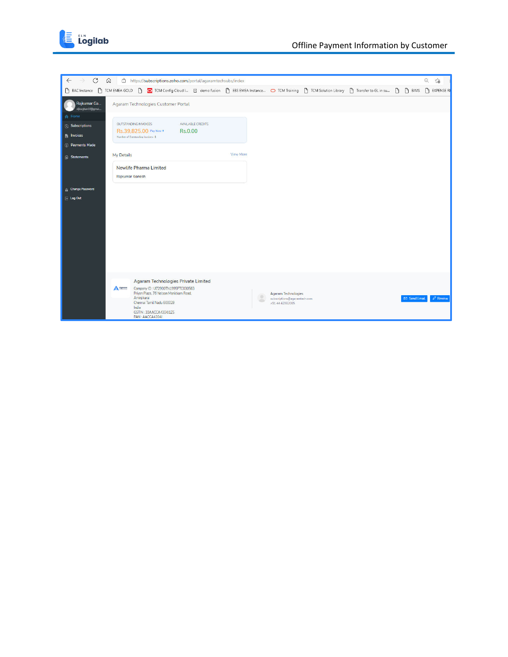

| $\mathcal{C}$<br>$\Omega$<br>$\leftarrow$  | https://subscriptions.zoho.com/portal/agaramtechsubs/index                                                                             |                  |                                                            |  |            | $\Theta$<br>$\vec{c}$ |
|--------------------------------------------|----------------------------------------------------------------------------------------------------------------------------------------|------------------|------------------------------------------------------------|--|------------|-----------------------|
| BAC Instance<br>$\bigcap$<br>TCM EMEA GOLD | TCM Config Cloud I [3] demo fusion [b] EBS EMEA Instance O TCM Training [b] TCM Solution Library [b] Transfer to GL in su [b] [b] BIMS |                  |                                                            |  |            | <b>P</b> EXPENSE RE   |
| Rajkumar Ga<br>vijiraghav1f@gmai           | Agaram Technologies Customer Portal                                                                                                    |                  |                                                            |  |            |                       |
| Home                                       | OUTSTANDING INVOICES<br>AVAILABLE CREDITS                                                                                              |                  |                                                            |  |            |                       |
| <b>3</b> Subscriptions                     | Rs.39,825.00 Pay Now →<br>Rs.0.00                                                                                                      |                  |                                                            |  |            |                       |
| <b>图 Invoices</b>                          | Number of Outstanding Invoices: 1                                                                                                      |                  |                                                            |  |            |                       |
| <b>S</b> Payments Made                     |                                                                                                                                        |                  |                                                            |  |            |                       |
| My Details<br><b>B</b> Statements          |                                                                                                                                        | <b>View More</b> |                                                            |  |            |                       |
|                                            | <b>Newlife Pharma Limited</b>                                                                                                          |                  |                                                            |  |            |                       |
|                                            | Rajkumar Ganesh                                                                                                                        |                  |                                                            |  |            |                       |
| <b>A</b> Change Password                   |                                                                                                                                        |                  |                                                            |  |            |                       |
| $E$ Log Out                                |                                                                                                                                        |                  |                                                            |  |            |                       |
|                                            |                                                                                                                                        |                  |                                                            |  |            |                       |
|                                            |                                                                                                                                        |                  |                                                            |  |            |                       |
|                                            |                                                                                                                                        |                  |                                                            |  |            |                       |
|                                            |                                                                                                                                        |                  |                                                            |  |            |                       |
|                                            |                                                                                                                                        |                  |                                                            |  |            |                       |
|                                            |                                                                                                                                        |                  |                                                            |  |            |                       |
|                                            |                                                                                                                                        |                  |                                                            |  |            |                       |
|                                            | Agaram Technologies Private Limited                                                                                                    |                  |                                                            |  |            |                       |
| A Agaram                                   | Company ID: U72900TN1995PTC030563                                                                                                      |                  |                                                            |  |            |                       |
|                                            | Priyan Plaza, 76 Nelson Manickam Road,<br>Aminjikarai                                                                                  | ÷<br>dillo.      | <b>Agaram Technologies</b><br>subscriptions@agaramtech.com |  | Send Email | $\mathscr O$ Review   |
|                                            | Chennai Tamil Nadu 600029<br>India                                                                                                     |                  | +91 44 42082005                                            |  |            |                       |
|                                            | GSTIN: 33AACCA4304J1Z5<br>PAN: AACCA4304J                                                                                              |                  |                                                            |  |            |                       |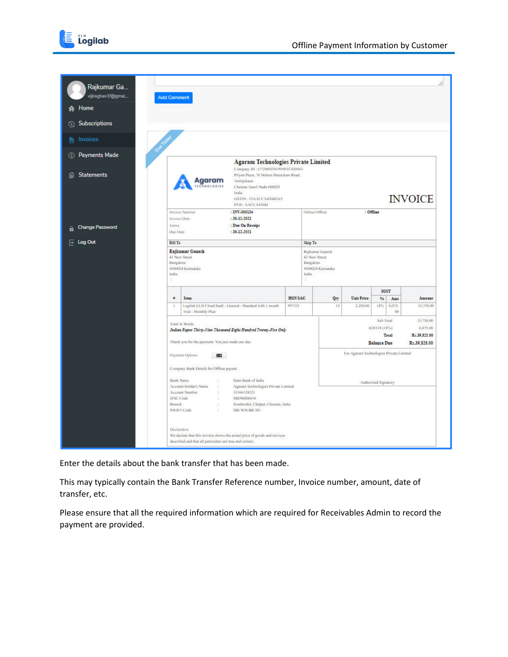

| Rajkumar Ga                    |                                                                                                                                                                                                                                                                                                                                                                                                                                                                       |                                                                                                                                     |                                                                             |                                     |                                                                                                                          |            |                   |              |                |  |  |
|--------------------------------|-----------------------------------------------------------------------------------------------------------------------------------------------------------------------------------------------------------------------------------------------------------------------------------------------------------------------------------------------------------------------------------------------------------------------------------------------------------------------|-------------------------------------------------------------------------------------------------------------------------------------|-----------------------------------------------------------------------------|-------------------------------------|--------------------------------------------------------------------------------------------------------------------------|------------|-------------------|--------------|----------------|--|--|
| vijiraghav1f@gmai<br>Home<br>A | <b>Add Comment</b>                                                                                                                                                                                                                                                                                                                                                                                                                                                    |                                                                                                                                     |                                                                             |                                     |                                                                                                                          |            |                   |              |                |  |  |
| Subscriptions<br>C۶)           |                                                                                                                                                                                                                                                                                                                                                                                                                                                                       |                                                                                                                                     |                                                                             |                                     |                                                                                                                          |            |                   |              |                |  |  |
| Invoices                       |                                                                                                                                                                                                                                                                                                                                                                                                                                                                       |                                                                                                                                     |                                                                             |                                     |                                                                                                                          |            |                   |              |                |  |  |
| <b>Payments Made</b><br>(8)    |                                                                                                                                                                                                                                                                                                                                                                                                                                                                       |                                                                                                                                     | <b>Agaram Technologies Private Limited</b>                                  |                                     |                                                                                                                          |            |                   |              |                |  |  |
| <b>Statements</b><br>īΘ        |                                                                                                                                                                                                                                                                                                                                                                                                                                                                       | Agaram<br>Aminjikarai<br><b>HNOLOGIES</b><br>Chennai Tamil Nadu 600029<br>India<br><b>GSTIN: 33AACCA4304J125</b><br>PAN: AACCA43043 | Company ID: U729001N1995PTC030563<br>Priyan Plaza, 76 Nelson Manickam Road, |                                     |                                                                                                                          |            |                   |              | <b>INVOICE</b> |  |  |
| <b>Change Password</b>         | Terms                                                                                                                                                                                                                                                                                                                                                                                                                                                                 | : INV 000134<br>Invoice Number<br>$: 30-12-2021$<br>Invoice Date<br>: Due On Receipt                                                |                                                                             | Online/Offline                      |                                                                                                                          | : Offline  |                   |              |                |  |  |
| Log Out<br>E                   | Due Date<br><b>Bill To</b>                                                                                                                                                                                                                                                                                                                                                                                                                                            | $: 30-12-2021$                                                                                                                      |                                                                             |                                     |                                                                                                                          |            |                   |              |                |  |  |
|                                | Bangalore<br>India                                                                                                                                                                                                                                                                                                                                                                                                                                                    | <b>Rajkumar Ganesh</b><br>43 New Street<br>5600024 Kamataka                                                                         |                                                                             | 43 New Street<br>Bangalore<br>India | Rajkumar Ganesh<br>5600024 Kamataka                                                                                      |            |                   |              |                |  |  |
|                                | ø                                                                                                                                                                                                                                                                                                                                                                                                                                                                     | Item                                                                                                                                |                                                                             | HSN/SAC                             | Qty                                                                                                                      | Unit Price | <b>IGST</b><br>96 | Amt          | Amount         |  |  |
|                                | $\mathbf{1}$                                                                                                                                                                                                                                                                                                                                                                                                                                                          | Logilab ELN Cloud SaaS - General - Standard with 1 month<br>Trial - Monthly Plan                                                    | 997331                                                                      |                                     | 15                                                                                                                       | 2.250.00   | 18%               | 6,075.<br>00 | 33,750.00      |  |  |
|                                | Total In Words<br>Indian Rupee Thirty-Nine Thousand Eight Hundred Twenty-Five Only<br>Thank you for the payment. You just made our day.                                                                                                                                                                                                                                                                                                                               |                                                                                                                                     |                                                                             |                                     | Sub Total<br>33,750.00<br><b>IGST18 (18%)</b><br>6,075.00<br>Total<br>Rs.39.825.00<br><b>Balance Due</b><br>Rs.39,825.00 |            |                   |              |                |  |  |
|                                | For Agaram Technologies Private Limited<br>Payment Options<br>Company Bank Details for Offline payent:<br><b>Bank Name</b><br>State Bank of India<br>d.<br>Authorized Signatory<br><b>Account Holder's Name</b><br>Agaram Technologies Private Limited<br>Y.<br>Account Number<br>33166124321<br>ä.<br><b>IFSC Code</b><br>SB1N0006616<br>x<br><b>Branch</b><br>Siruthozhil, Chetpet, Chennai, India<br>d.<br><b>SWIFT Code</b><br>SBI NIN BB 301<br>×<br>Declaration |                                                                                                                                     |                                                                             |                                     |                                                                                                                          |            |                   |              |                |  |  |

Enter the details about the bank transfer that has been made.

This may typically contain the Bank Transfer Reference number, Invoice number, amount, date of transfer, etc.

Please ensure that all the required information which are required for Receivables Admin to record the payment are provided.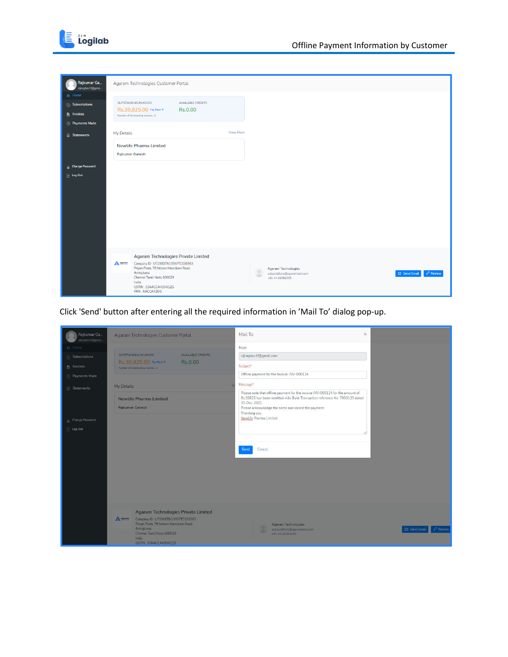

| Rajkumar Ga<br>vijiraghav1f@gmai | Agaram Technologies Customer Portal                                                         |                                                                                                  |
|----------------------------------|---------------------------------------------------------------------------------------------|--------------------------------------------------------------------------------------------------|
| A Home                           |                                                                                             |                                                                                                  |
| <b>8</b> Subscriptions           | OUTSTANDING INVOICES<br>AVAILABLE CREDITS<br>Rs.39,825.00 Pay Now →<br><b>Rs.0.00</b>       |                                                                                                  |
| <b>E</b> Invoices                | Number of Outstanding Invoices : 1                                                          |                                                                                                  |
| <sup>3</sup> Payments Made       |                                                                                             |                                                                                                  |
| <b>B</b> Statements              | <b>View More</b><br>My Details                                                              |                                                                                                  |
|                                  | <b>Newlife Pharma Limited</b>                                                               |                                                                                                  |
|                                  | Rajkumar Ganesh                                                                             |                                                                                                  |
| <b>G</b> Change Password         |                                                                                             |                                                                                                  |
| $\overline{+}$ Log Out           |                                                                                             |                                                                                                  |
|                                  |                                                                                             |                                                                                                  |
|                                  |                                                                                             |                                                                                                  |
|                                  |                                                                                             |                                                                                                  |
|                                  |                                                                                             |                                                                                                  |
|                                  |                                                                                             |                                                                                                  |
|                                  |                                                                                             |                                                                                                  |
|                                  |                                                                                             |                                                                                                  |
|                                  |                                                                                             |                                                                                                  |
|                                  | <b>Agaram Technologies Private Limited</b><br>A Agaram<br>Company ID: U72900TN1995PTC030563 |                                                                                                  |
|                                  | Priyan Plaza, 76 Nelson Manickam Road,<br>Aminjikarai                                       | <b>Agaram Technologies</b><br>$\mathscr{O}$ Review<br>Send Email<br>subscriptions@agaramtech.com |
|                                  | $\sqrt{2}$<br>Chennai Tamil Nadu 600029<br>India                                            | +91 44 42082005                                                                                  |
|                                  | GSTIN: 33AACCA4304J1Z5<br>PAN: AACCA4304J                                                   |                                                                                                  |

Click 'Send' button after entering all the required information in 'Mail To' dialog pop-up.

| Rajkumar Ga<br>vijiraghav1f@gmai                                                                                                                    | Agaram Technologies Customer Portal                                                                                                                                                                                        | Mail To                                                                                                                                                                                                                                                                                                                                                                                                  | $\times$                             |
|-----------------------------------------------------------------------------------------------------------------------------------------------------|----------------------------------------------------------------------------------------------------------------------------------------------------------------------------------------------------------------------------|----------------------------------------------------------------------------------------------------------------------------------------------------------------------------------------------------------------------------------------------------------------------------------------------------------------------------------------------------------------------------------------------------------|--------------------------------------|
| A Home<br><b>Subscriptions</b><br><b>图 Invoices</b><br><b>D</b> Payments Made<br><b>B</b> Statements<br>A Change Password<br>$\overline{=}$ Log Out | OUTSTANDING INVOICES<br><b>AVAILABLE CREDITS</b><br>Rs.39,825.00 Pay Now →<br>Rs.0.00<br>Number of Outstanding Invoices : 1<br>My Details<br>Newlife Pharma Limited<br>Rajkumar Ganesh                                     | From<br>vijiraghav1f@gmail.com<br>Subject*<br>Offline payment for the Invoice: INV-000134<br>Message*<br>Please note that offline payment for the invoice INV-000134 for the amount of<br>Rs.39825 has been remitted vide Bank Transaction reference No: 7890123 dated<br>30-Dec-2021<br>Please acknowledge the same and record the payment.<br>Thanking you<br>Newlife Pharma Limited<br>Cancel<br>Send |                                      |
|                                                                                                                                                     | <b>Agaram Technologies Private Limited</b><br>A <sub>4</sub><br>Company ID: U72900TN1995PTC030563<br>Priyan Plaza, 76 Nelson Manickam Road,<br>Aminjikarai<br>Chennai Tamil Nadu 600029<br>India<br>GSTIN: 33AACCA4304J1Z5 | Agaram Technologies<br>subscriptions@agaramtech.com<br>+91 44 42082005                                                                                                                                                                                                                                                                                                                                   | <b><i>P</i></b> Review<br>Send Email |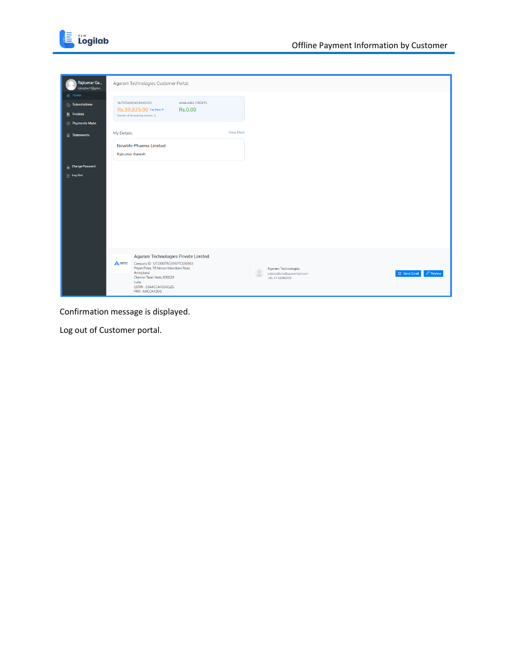

| Rajkumar Ga<br>vijiraghav1f@gmai                                 | Agaram Technologies Customer Portal                                                                                                                                                                                                                                                                                                                                  |
|------------------------------------------------------------------|----------------------------------------------------------------------------------------------------------------------------------------------------------------------------------------------------------------------------------------------------------------------------------------------------------------------------------------------------------------------|
| <b>合</b> Home<br><b>8</b> Subscriptions<br>$\mathbf{B}$ Invoices | OUTSTANDING INVOICES<br>AVAILABLE CREDITS<br>Rs.39,825.00 Pay Now →<br>Rs.0.00<br>Number of Outstanding Invoices : 1                                                                                                                                                                                                                                                 |
| <sup>3</sup> Payments Made                                       |                                                                                                                                                                                                                                                                                                                                                                      |
| <b>B</b> Statements                                              | View More<br>My Details                                                                                                                                                                                                                                                                                                                                              |
|                                                                  | <b>Newlife Pharma Limited</b><br>Rajkumar Ganesh                                                                                                                                                                                                                                                                                                                     |
| <b>G</b> Change Password                                         |                                                                                                                                                                                                                                                                                                                                                                      |
| $\overline{+}$ Log Out                                           |                                                                                                                                                                                                                                                                                                                                                                      |
|                                                                  | Agaram Technologies Private Limited<br>A Agoram<br>Company ID: U72900TN1995PTC030563<br>Priyan Plaza, 76 Nelson Manickam Road,<br><b>Agaram Technologies</b><br>Aminjikarai<br>$\mathscr O$ Review<br>Send Email<br>subscriptions@agaramtech.com<br>$\sqrt{2}$<br>Chennai Tamil Nadu 600029<br>+91 44 42082005<br>India<br>GSTIN: 33AACCA4304J1Z5<br>PAN: AACCA4304J |

Confirmation message is displayed.

Log out of Customer portal.